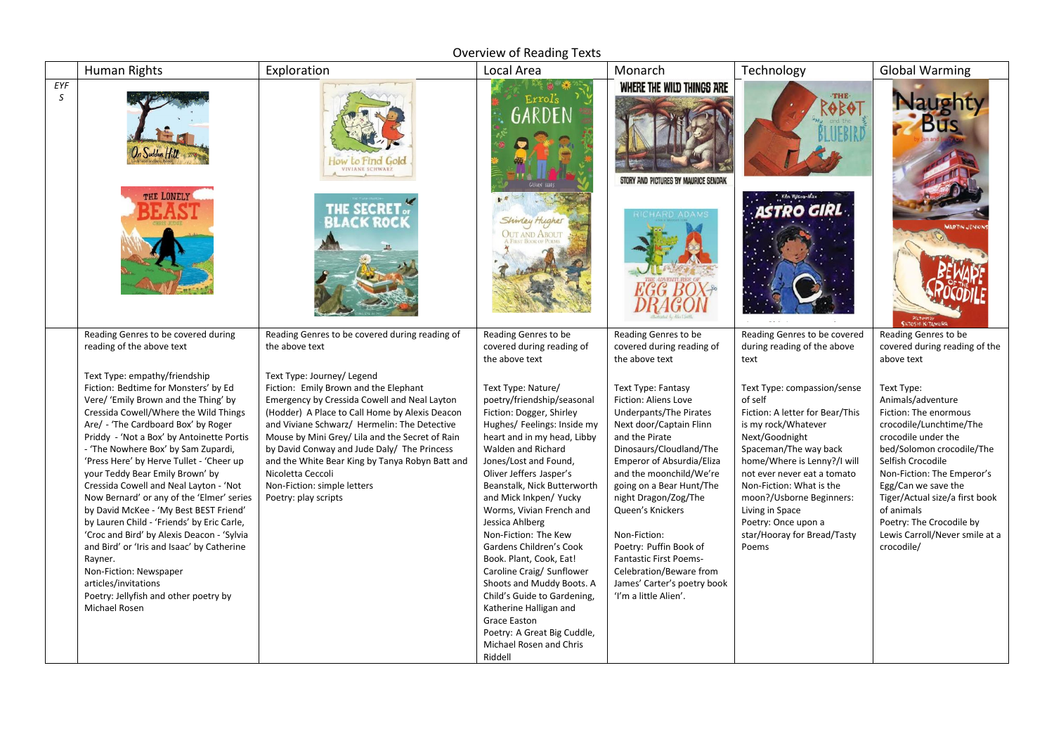Overview of Reading Texts

|          | <b>Human Rights</b>                                                                                                                                                                                                                                                                                                                                                                                                                                                                                                                                                                                                                                                                                                                                                | Exploration                                                                                                                                                                                                                                                                                                                                                                                                                                            | Local Area                                                                                                                                                                                                                                                                                                                                                                                                                                                                                                                                                                                                         | Monarch                                                                                                                                                                                                                                                                                                                                                                                                                                                  | Technology                                                                                                                                                                                                                                                                                                                                          | <b>Global Warming</b>                                                                                                                                                                                                                                                                                                                         |
|----------|--------------------------------------------------------------------------------------------------------------------------------------------------------------------------------------------------------------------------------------------------------------------------------------------------------------------------------------------------------------------------------------------------------------------------------------------------------------------------------------------------------------------------------------------------------------------------------------------------------------------------------------------------------------------------------------------------------------------------------------------------------------------|--------------------------------------------------------------------------------------------------------------------------------------------------------------------------------------------------------------------------------------------------------------------------------------------------------------------------------------------------------------------------------------------------------------------------------------------------------|--------------------------------------------------------------------------------------------------------------------------------------------------------------------------------------------------------------------------------------------------------------------------------------------------------------------------------------------------------------------------------------------------------------------------------------------------------------------------------------------------------------------------------------------------------------------------------------------------------------------|----------------------------------------------------------------------------------------------------------------------------------------------------------------------------------------------------------------------------------------------------------------------------------------------------------------------------------------------------------------------------------------------------------------------------------------------------------|-----------------------------------------------------------------------------------------------------------------------------------------------------------------------------------------------------------------------------------------------------------------------------------------------------------------------------------------------------|-----------------------------------------------------------------------------------------------------------------------------------------------------------------------------------------------------------------------------------------------------------------------------------------------------------------------------------------------|
| EYF<br>S |                                                                                                                                                                                                                                                                                                                                                                                                                                                                                                                                                                                                                                                                                                                                                                    | ow to Find Gold<br><b>IVIANE SCHWARZ</b>                                                                                                                                                                                                                                                                                                                                                                                                               | Errols<br>GARDEN                                                                                                                                                                                                                                                                                                                                                                                                                                                                                                                                                                                                   | WHERE THE WILD THINGS ARE<br><b>BY MAURICE SENDAK</b>                                                                                                                                                                                                                                                                                                                                                                                                    | <b>THE</b><br>OBOT                                                                                                                                                                                                                                                                                                                                  | aught                                                                                                                                                                                                                                                                                                                                         |
|          | THE LONELY                                                                                                                                                                                                                                                                                                                                                                                                                                                                                                                                                                                                                                                                                                                                                         | THE SECRET<br>CK ROC                                                                                                                                                                                                                                                                                                                                                                                                                                   | Shiwley Hughes<br><b>OUT AND ABOUT</b>                                                                                                                                                                                                                                                                                                                                                                                                                                                                                                                                                                             |                                                                                                                                                                                                                                                                                                                                                                                                                                                          | <b>ISTRO GIRL</b>                                                                                                                                                                                                                                                                                                                                   | PICTURES OF                                                                                                                                                                                                                                                                                                                                   |
|          | Reading Genres to be covered during<br>reading of the above text                                                                                                                                                                                                                                                                                                                                                                                                                                                                                                                                                                                                                                                                                                   | Reading Genres to be covered during reading of<br>the above text                                                                                                                                                                                                                                                                                                                                                                                       | Reading Genres to be<br>covered during reading of                                                                                                                                                                                                                                                                                                                                                                                                                                                                                                                                                                  | Reading Genres to be<br>covered during reading of                                                                                                                                                                                                                                                                                                                                                                                                        | Reading Genres to be covered<br>during reading of the above                                                                                                                                                                                                                                                                                         | Reading Genres to be<br>covered during reading of the                                                                                                                                                                                                                                                                                         |
|          |                                                                                                                                                                                                                                                                                                                                                                                                                                                                                                                                                                                                                                                                                                                                                                    |                                                                                                                                                                                                                                                                                                                                                                                                                                                        | the above text                                                                                                                                                                                                                                                                                                                                                                                                                                                                                                                                                                                                     | the above text                                                                                                                                                                                                                                                                                                                                                                                                                                           | text                                                                                                                                                                                                                                                                                                                                                | above text                                                                                                                                                                                                                                                                                                                                    |
|          | Text Type: empathy/friendship<br>Fiction: Bedtime for Monsters' by Ed<br>Vere/ 'Emily Brown and the Thing' by<br>Cressida Cowell/Where the Wild Things<br>Are/ - 'The Cardboard Box' by Roger<br>Priddy - 'Not a Box' by Antoinette Portis<br>- 'The Nowhere Box' by Sam Zupardi,<br>'Press Here' by Herve Tullet - 'Cheer up<br>your Teddy Bear Emily Brown' by<br>Cressida Cowell and Neal Layton - 'Not<br>Now Bernard' or any of the 'Elmer' series<br>by David McKee - 'My Best BEST Friend'<br>by Lauren Child - 'Friends' by Eric Carle,<br>'Croc and Bird' by Alexis Deacon - 'Sylvia<br>and Bird' or 'Iris and Isaac' by Catherine<br>Rayner.<br>Non-Fiction: Newspaper<br>articles/invitations<br>Poetry: Jellyfish and other poetry by<br>Michael Rosen | Text Type: Journey/ Legend<br>Fiction: Emily Brown and the Elephant<br>Emergency by Cressida Cowell and Neal Layton<br>(Hodder) A Place to Call Home by Alexis Deacon<br>and Viviane Schwarz/ Hermelin: The Detective<br>Mouse by Mini Grey/ Lila and the Secret of Rain<br>by David Conway and Jude Daly/ The Princess<br>and the White Bear King by Tanya Robyn Batt and<br>Nicoletta Ceccoli<br>Non-Fiction: simple letters<br>Poetry: play scripts | Text Type: Nature/<br>poetry/friendship/seasonal<br>Fiction: Dogger, Shirley<br>Hughes/ Feelings: Inside my<br>heart and in my head, Libby<br>Walden and Richard<br>Jones/Lost and Found,<br>Oliver Jeffers Jasper's<br>Beanstalk, Nick Butterworth<br>and Mick Inkpen/ Yucky<br>Worms, Vivian French and<br>Jessica Ahlberg<br>Non-Fiction: The Kew<br>Gardens Children's Cook<br>Book. Plant, Cook, Eat!<br>Caroline Craig/ Sunflower<br>Shoots and Muddy Boots. A<br>Child's Guide to Gardening,<br>Katherine Halligan and<br>Grace Easton<br>Poetry: A Great Big Cuddle,<br>Michael Rosen and Chris<br>Riddell | <b>Text Type: Fantasy</b><br><b>Fiction: Aliens Love</b><br>Underpants/The Pirates<br>Next door/Captain Flinn<br>and the Pirate<br>Dinosaurs/Cloudland/The<br>Emperor of Absurdia/Eliza<br>and the moonchild/We're<br>going on a Bear Hunt/The<br>night Dragon/Zog/The<br>Queen's Knickers<br>Non-Fiction:<br>Poetry: Puffin Book of<br><b>Fantastic First Poems-</b><br>Celebration/Beware from<br>James' Carter's poetry book<br>'I'm a little Alien'. | Text Type: compassion/sense<br>of self<br>Fiction: A letter for Bear/This<br>is my rock/Whatever<br>Next/Goodnight<br>Spaceman/The way back<br>home/Where is Lenny?/I will<br>not ever never eat a tomato<br>Non-Fiction: What is the<br>moon?/Usborne Beginners:<br>Living in Space<br>Poetry: Once upon a<br>star/Hooray for Bread/Tasty<br>Poems | Text Type:<br>Animals/adventure<br>Fiction: The enormous<br>crocodile/Lunchtime/The<br>crocodile under the<br>bed/Solomon crocodile/The<br>Selfish Crocodile<br>Non-Fiction: The Emperor's<br>Egg/Can we save the<br>Tiger/Actual size/a first book<br>of animals<br>Poetry: The Crocodile by<br>Lewis Carroll/Never smile at a<br>crocodile/ |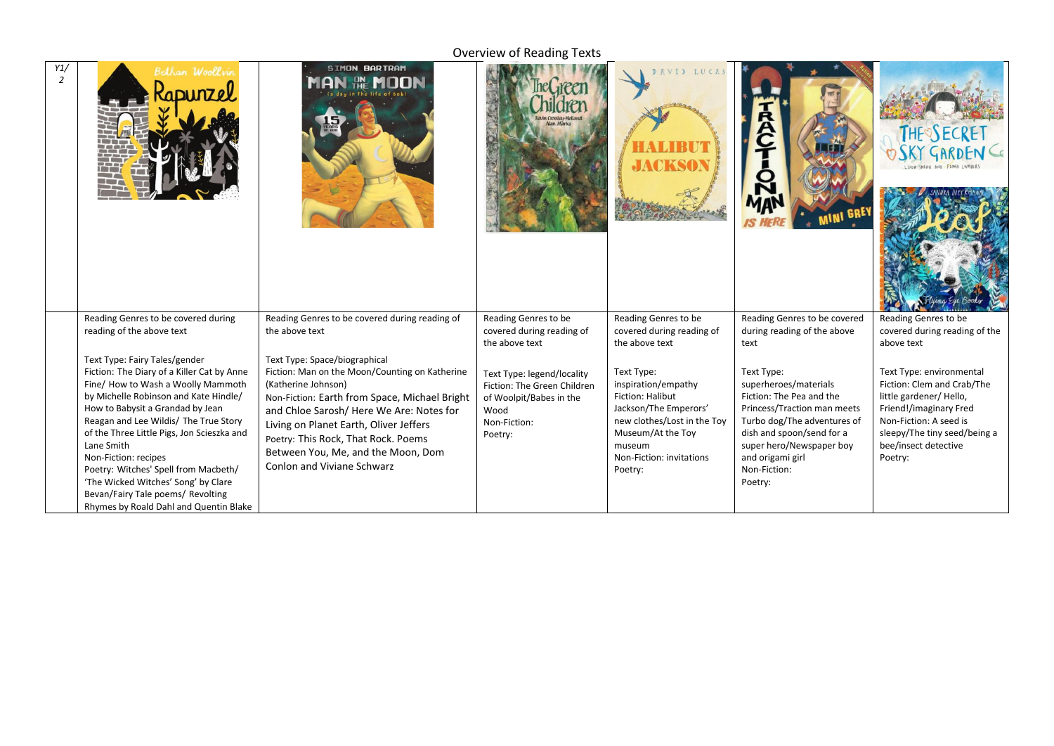## Overview of Reading Texts

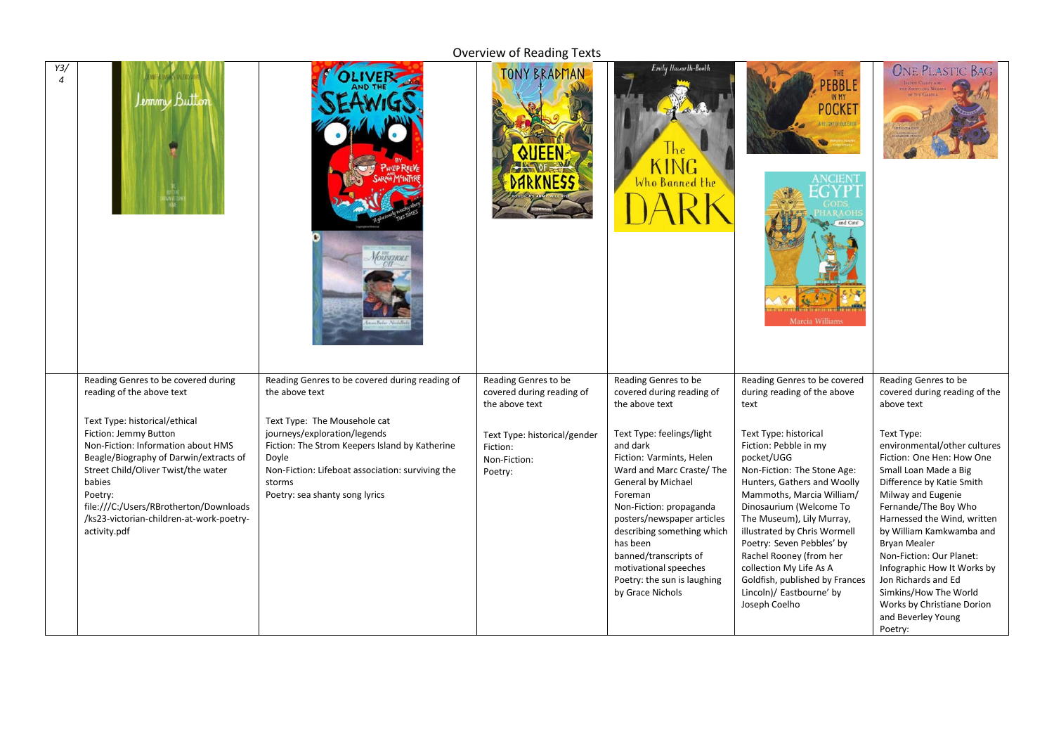## Overview of Reading Texts

| Y3/<br>$\boldsymbol{A}$ | Lemmy Button                                                                                                                                                                                                                                                                                             | <b>DUSTINGL</b>                                                                                                                                                                                                         | <b>TONY BRADMAN</b>                                                 | Emily Hawarth-Booth<br>NG.<br>Who Banned the                                                                                                                                                                                                                                                                                                   | THE<br><b>PEBBLE</b><br>IN MY<br><b>POCKET</b><br>OF OUR EART<br>Marcia Williams                                                                                                                                                                                                                                                                                                                                  | <b>ONE PLASTIC BAG</b>                                                                                                                                                                                                                                                                                                                                                                                                                  |
|-------------------------|----------------------------------------------------------------------------------------------------------------------------------------------------------------------------------------------------------------------------------------------------------------------------------------------------------|-------------------------------------------------------------------------------------------------------------------------------------------------------------------------------------------------------------------------|---------------------------------------------------------------------|------------------------------------------------------------------------------------------------------------------------------------------------------------------------------------------------------------------------------------------------------------------------------------------------------------------------------------------------|-------------------------------------------------------------------------------------------------------------------------------------------------------------------------------------------------------------------------------------------------------------------------------------------------------------------------------------------------------------------------------------------------------------------|-----------------------------------------------------------------------------------------------------------------------------------------------------------------------------------------------------------------------------------------------------------------------------------------------------------------------------------------------------------------------------------------------------------------------------------------|
|                         | Reading Genres to be covered during<br>reading of the above text                                                                                                                                                                                                                                         | Reading Genres to be covered during reading of<br>the above text                                                                                                                                                        | Reading Genres to be<br>covered during reading of<br>the above text | Reading Genres to be<br>covered during reading of<br>the above text                                                                                                                                                                                                                                                                            | Reading Genres to be covered<br>during reading of the above<br>text                                                                                                                                                                                                                                                                                                                                               | Reading Genres to be<br>covered during reading of the<br>above text                                                                                                                                                                                                                                                                                                                                                                     |
|                         | Text Type: historical/ethical<br>Fiction: Jemmy Button<br>Non-Fiction: Information about HMS<br>Beagle/Biography of Darwin/extracts of<br>Street Child/Oliver Twist/the water<br>babies<br>Poetry:<br>file:///C:/Users/RBrotherton/Downloads<br>/ks23-victorian-children-at-work-poetry-<br>activity.pdf | Text Type: The Mousehole cat<br>journeys/exploration/legends<br>Fiction: The Strom Keepers Island by Katherine<br>Doyle<br>Non-Fiction: Lifeboat association: surviving the<br>storms<br>Poetry: sea shanty song lyrics | Text Type: historical/gender<br>Fiction:<br>Non-Fiction:<br>Poetry: | Text Type: feelings/light<br>and dark<br>Fiction: Varmints, Helen<br>Ward and Marc Craste/ The<br><b>General by Michael</b><br>Foreman<br>Non-Fiction: propaganda<br>posters/newspaper articles<br>describing something which<br>has been<br>banned/transcripts of<br>motivational speeches<br>Poetry: the sun is laughing<br>by Grace Nichols | Text Type: historical<br>Fiction: Pebble in my<br>pocket/UGG<br>Non-Fiction: The Stone Age:<br>Hunters, Gathers and Woolly<br>Mammoths, Marcia William/<br>Dinosaurium (Welcome To<br>The Museum), Lily Murray,<br>illustrated by Chris Wormell<br>Poetry: Seven Pebbles' by<br>Rachel Rooney (from her<br>collection My Life As A<br>Goldfish, published by Frances<br>Lincoln)/ Eastbourne' by<br>Joseph Coelho | Text Type:<br>environmental/other cultures<br>Fiction: One Hen: How One<br>Small Loan Made a Big<br>Difference by Katie Smith<br>Milway and Eugenie<br>Fernande/The Boy Who<br>Harnessed the Wind, written<br>by William Kamkwamba and<br><b>Bryan Mealer</b><br>Non-Fiction: Our Planet:<br>Infographic How It Works by<br>Jon Richards and Ed<br>Simkins/How The World<br>Works by Christiane Dorion<br>and Beverley Young<br>Poetry: |